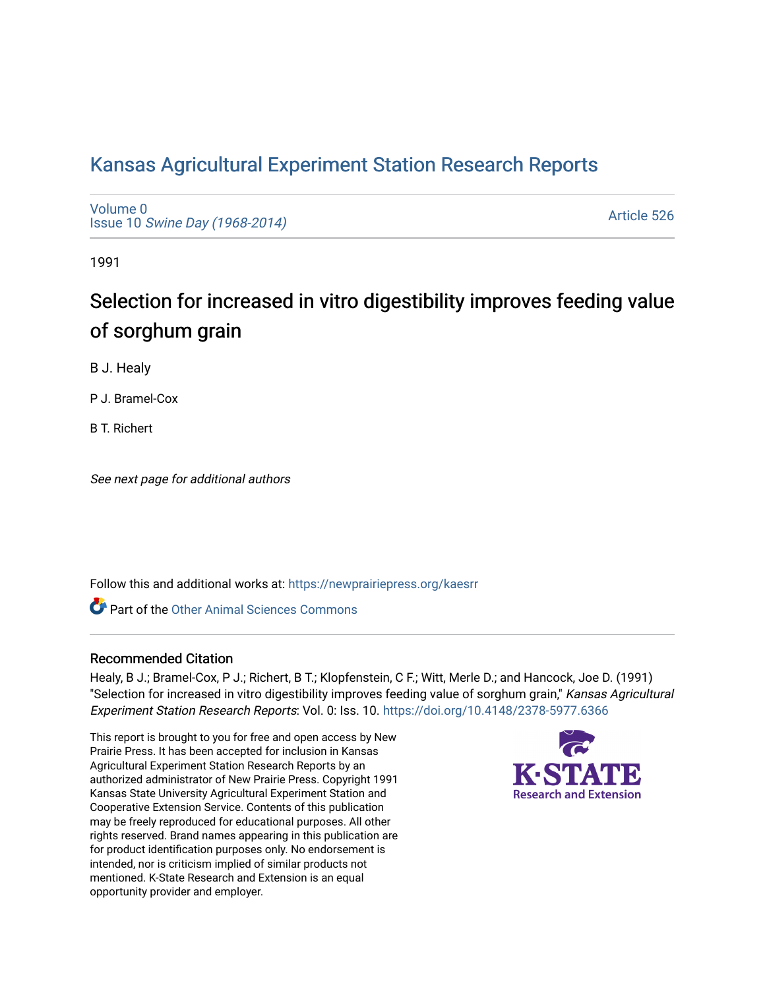# [Kansas Agricultural Experiment Station Research Reports](https://newprairiepress.org/kaesrr)

[Volume 0](https://newprairiepress.org/kaesrr/vol0) Issue 10 [Swine Day \(1968-2014\)](https://newprairiepress.org/kaesrr/vol0/iss10)

[Article 526](https://newprairiepress.org/kaesrr/vol0/iss10/526) 

1991

# Selection for increased in vitro digestibility improves feeding value of sorghum grain

B J. Healy

P J. Bramel-Cox

B T. Richert

See next page for additional authors

Follow this and additional works at: [https://newprairiepress.org/kaesrr](https://newprairiepress.org/kaesrr?utm_source=newprairiepress.org%2Fkaesrr%2Fvol0%2Fiss10%2F526&utm_medium=PDF&utm_campaign=PDFCoverPages) 

**C** Part of the [Other Animal Sciences Commons](http://network.bepress.com/hgg/discipline/82?utm_source=newprairiepress.org%2Fkaesrr%2Fvol0%2Fiss10%2F526&utm_medium=PDF&utm_campaign=PDFCoverPages)

#### Recommended Citation

Healy, B J.; Bramel-Cox, P J.; Richert, B T.; Klopfenstein, C F.; Witt, Merle D.; and Hancock, Joe D. (1991) "Selection for increased in vitro digestibility improves feeding value of sorghum grain," Kansas Agricultural Experiment Station Research Reports: Vol. 0: Iss. 10. <https://doi.org/10.4148/2378-5977.6366>

This report is brought to you for free and open access by New Prairie Press. It has been accepted for inclusion in Kansas Agricultural Experiment Station Research Reports by an authorized administrator of New Prairie Press. Copyright 1991 Kansas State University Agricultural Experiment Station and Cooperative Extension Service. Contents of this publication may be freely reproduced for educational purposes. All other rights reserved. Brand names appearing in this publication are for product identification purposes only. No endorsement is intended, nor is criticism implied of similar products not mentioned. K-State Research and Extension is an equal opportunity provider and employer.

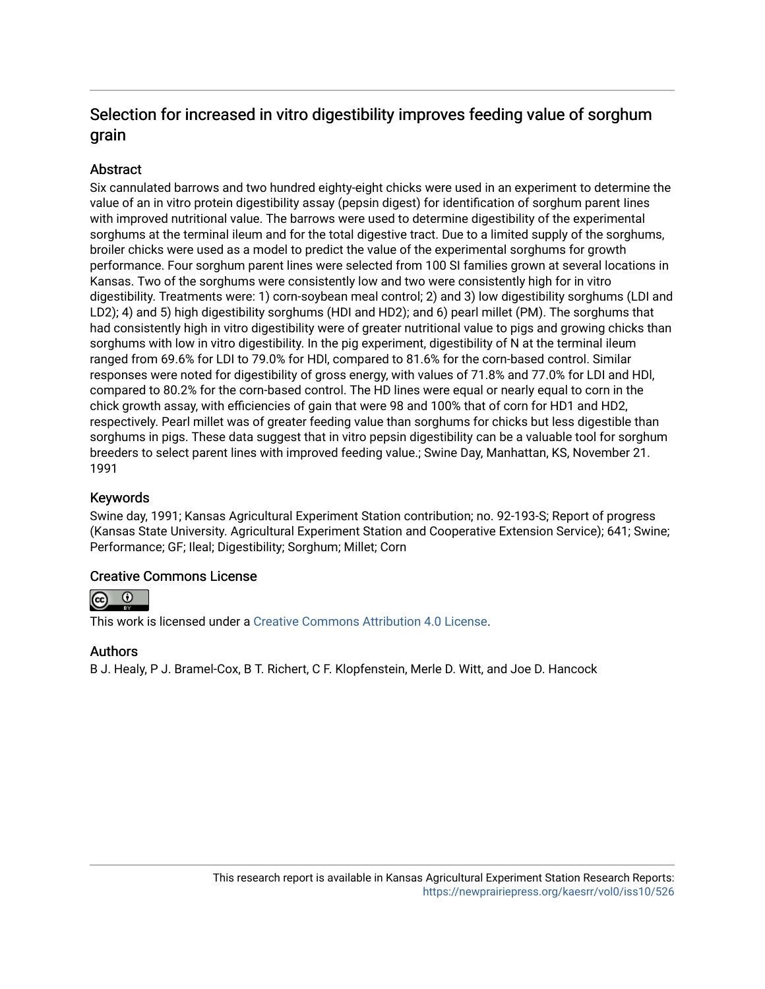# Selection for increased in vitro digestibility improves feeding value of sorghum grain

# **Abstract**

Six cannulated barrows and two hundred eighty-eight chicks were used in an experiment to determine the value of an in vitro protein digestibility assay (pepsin digest) for identification of sorghum parent Iines with improved nutritional value. The barrows were used to determine digestibility of the experimental sorghums at the terminal ileum and for the total digestive tract. Due to a limited supply of the sorghums, broiler chicks were used as a model to predict the value of the experimental sorghums for growth performance. Four sorghum parent lines were selected from 100 SI families grown at several locations in Kansas. Two of the sorghums were consistently low and two were consistently high for in vitro digestibility. Treatments were: 1) corn-soybean meal control; 2) and 3) low digestibility sorghums (LDI and LD2); 4) and 5) high digestibility sorghums (HDI and HD2); and 6) pearl millet (PM). The sorghums that had consistently high in vitro digestibility were of greater nutritional value to pigs and growing chicks than sorghums with low in vitro digestibility. In the pig experiment, digestibility of N at the terminal ileum ranged from 69.6% for LDI to 79.0% for HDl, compared to 81.6% for the corn-based control. Similar responses were noted for digestibility of gross energy, with values of 71.8% and 77.0% for LDI and HDl, compared to 80.2% for the corn-based control. The HD lines were equal or nearly equal to corn in the chick growth assay, with efficiencies of gain that were 98 and 100% that of corn for HD1 and HD2, respectively. Pearl millet was of greater feeding value than sorghums for chicks but less digestible than sorghums in pigs. These data suggest that in vitro pepsin digestibility can be a valuable tool for sorghum breeders to select parent lines with improved feeding value.; Swine Day, Manhattan, KS, November 21. 1991

## Keywords

Swine day, 1991; Kansas Agricultural Experiment Station contribution; no. 92-193-S; Report of progress (Kansas State University. Agricultural Experiment Station and Cooperative Extension Service); 641; Swine; Performance; GF; Ileal; Digestibility; Sorghum; Millet; Corn

## Creative Commons License



This work is licensed under a [Creative Commons Attribution 4.0 License](https://creativecommons.org/licenses/by/4.0/).

## Authors

B J. Healy, P J. Bramel-Cox, B T. Richert, C F. Klopfenstein, Merle D. Witt, and Joe D. Hancock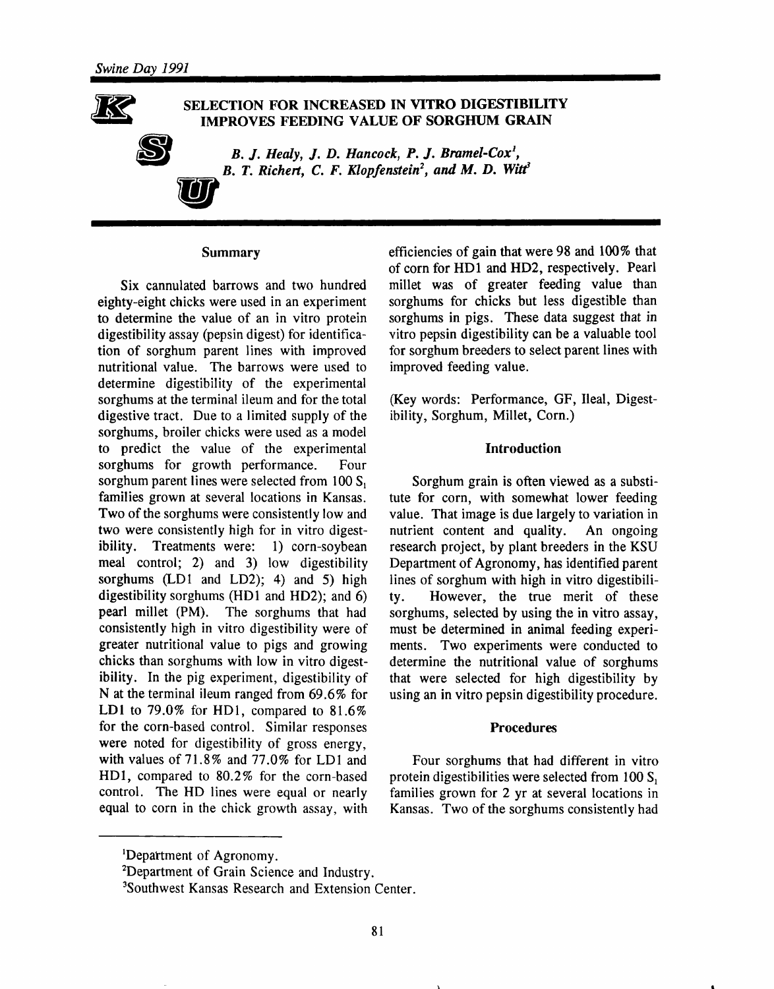

#### SELECTION FOR INCREASED IN VITRO DIGESTIBILITY **IMPROVES FEEDING VALUE OF SORGHUM GRAIN**

B. J. Healy, J. D. Hancock, P. J. Bramel-Cox<sup>1</sup>, B. T. Richert, C. F. Klopfenstein<sup>2</sup>, and M. D. Witt<sup>3</sup>

#### Summary

Six cannulated barrows and two hundred eighty-eight chicks were used in an experiment to determine the value of an in vitro protein digestibility assay (pepsin digest) for identification of sorghum parent lines with improved nutritional value. The barrows were used to determine digestibility of the experimental sorghums at the terminal ileum and for the total digestive tract. Due to a limited supply of the sorghums, broiler chicks were used as a model to predict the value of the experimental sorghums for growth performance. Four sorghum parent lines were selected from  $100 S<sub>1</sub>$ families grown at several locations in Kansas. Two of the sorghums were consistently low and two were consistently high for in vitro digestibility. Treatments were: 1) corn-soybean meal control; 2) and 3) low digestibility sorghums (LD1 and LD2); 4) and 5) high digestibility sorghums (HD1 and HD2); and  $6$ ) pearl millet (PM). The sorghums that had consistently high in vitro digestibility were of greater nutritional value to pigs and growing chicks than sorghums with low in vitro digestibility. In the pig experiment, digestibility of N at the terminal ileum ranged from  $69.6\%$  for LD1 to 79.0% for HD1, compared to  $81.6\%$ for the corn-based control. Similar responses were noted for digestibility of gross energy, with values of 71.8% and 77.0% for LD1 and HD1, compared to 80.2% for the corn-based control. The HD lines were equal or nearly equal to corn in the chick growth assay, with efficiencies of gain that were 98 and 100% that of corn for HD1 and HD2, respectively. Pearl millet was of greater feeding value than sorghums for chicks but less digestible than sorghums in pigs. These data suggest that in vitro pepsin digestibility can be a valuable tool for sorghum breeders to select parent lines with improved feeding value.

(Key words: Performance, GF, Ileal, Digestibility, Sorghum, Millet, Corn.)

#### **Introduction**

Sorghum grain is often viewed as a substitute for corn, with somewhat lower feeding value. That image is due largely to variation in nutrient content and quality. An ongoing research project, by plant breeders in the KSU Department of Agronomy, has identified parent lines of sorghum with high in vitro digestibili-However, the true merit of these tv. sorghums, selected by using the in vitro assay, must be determined in animal feeding experiments. Two experiments were conducted to determine the nutritional value of sorghums that were selected for high digestibility by using an in vitro pepsin digestibility procedure.

#### **Procedures**

Four sorghums that had different in vitro protein digestibilities were selected from 100 S. families grown for 2 yr at several locations in Kansas. Two of the sorghums consistently had

<sup>&</sup>lt;sup>1</sup>Department of Agronomy.

<sup>&</sup>lt;sup>2</sup>Department of Grain Science and Industry.

<sup>&</sup>lt;sup>3</sup>Southwest Kansas Research and Extension Center.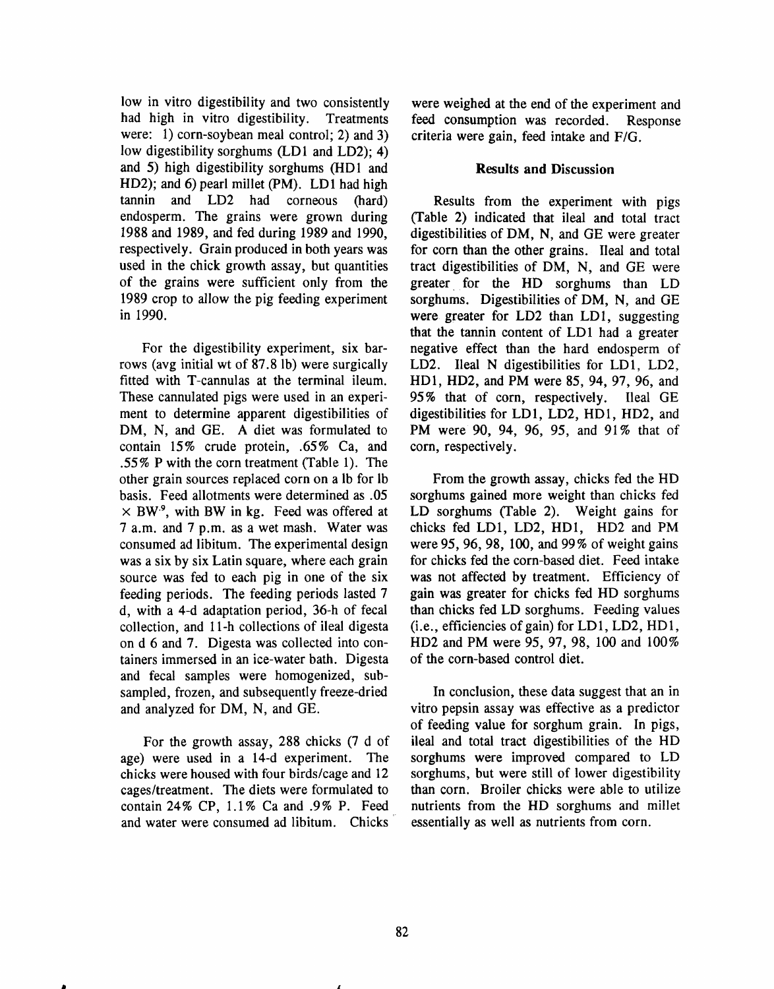low in vitro digestibility and two consistently had high in vitro digestibility. Treatments were: 1) corn-soybean meal control; 2) and 3) low digestibility sorghums (LD1 and LD2): 4) and 5) high digestibility sorghums (HD1 and HD2); and 6) pearl millet (PM). LD1 had high tannin and LD2 had corneous (hard) endosperm. The grains were grown during 1988 and 1989, and fed during 1989 and 1990, respectively. Grain produced in both years was used in the chick growth assay, but quantities of the grains were sufficient only from the 1989 crop to allow the pig feeding experiment in 1990.

For the digestibility experiment, six barrows (avg initial wt of 87.8 lb) were surgically fitted with T-cannulas at the terminal ileum. These cannulated pigs were used in an experiment to determine apparent digestibilities of DM, N, and GE. A diet was formulated to contain 15% crude protein, .65% Ca, and .55% P with the corn treatment (Table 1). The other grain sources replaced corn on a lb for lb basis. Feed allotments were determined as .05  $\times$  BW<sup>9</sup>, with BW in kg. Feed was offered at 7 a.m. and 7 p.m. as a wet mash. Water was consumed ad libitum. The experimental design was a six by six Latin square, where each grain source was fed to each pig in one of the six feeding periods. The feeding periods lasted 7 d, with a 4-d adaptation period, 36-h of fecal collection, and 11-h collections of ileal digesta on d 6 and 7. Digesta was collected into containers immersed in an ice-water bath. Digesta and fecal samples were homogenized, subsampled, frozen, and subsequently freeze-dried and analyzed for DM, N, and GE.

For the growth assay, 288 chicks (7 d of age) were used in a 14-d experiment. The chicks were housed with four birds/cage and 12 cages/treatment. The diets were formulated to contain 24% CP, 1.1% Ca and .9% P. Feed and water were consumed ad libitum. Chicks were weighed at the end of the experiment and feed consumption was recorded. Response criteria were gain, feed intake and F/G.

#### **Results and Discussion**

Results from the experiment with pigs (Table 2) indicated that ileal and total tract digestibilities of DM, N, and GE were greater for corn than the other grains. Ileal and total tract digestibilities of DM, N, and GE were greater for the HD sorghums than LD sorghums. Digestibilities of DM, N, and GE were greater for LD2 than LD1, suggesting that the tannin content of LD1 had a greater negative effect than the hard endosperm of LD2. Ileal N digestibilities for LD1, LD2, HD1, HD2, and PM were 85, 94, 97, 96, and 95% that of corn, respectively. Ileal GE digestibilities for LD1, LD2, HD1, HD2, and PM were 90, 94, 96, 95, and 91% that of corn, respectively.

From the growth assay, chicks fed the HD sorghums gained more weight than chicks fed LD sorghums (Table 2). Weight gains for chicks fed LD1, LD2, HD1, HD2 and PM were 95, 96, 98, 100, and 99% of weight gains for chicks fed the corn-based diet. Feed intake was not affected by treatment. Efficiency of gain was greater for chicks fed HD sorghums than chicks fed LD sorghums. Feeding values (i.e., efficiencies of gain) for LD1, LD2, HD1, HD2 and PM were 95, 97, 98, 100 and 100% of the corn-based control diet.

In conclusion, these data suggest that an in vitro pepsin assay was effective as a predictor of feeding value for sorghum grain. In pigs, ileal and total tract digestibilities of the HD sorghums were improved compared to LD sorghums, but were still of lower digestibility than corn. Broiler chicks were able to utilize nutrients from the HD sorghums and millet essentially as well as nutrients from corn.